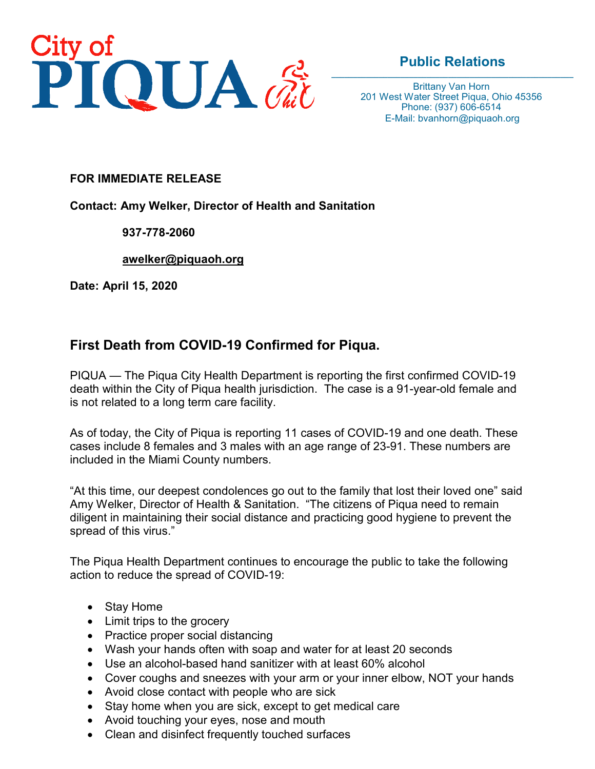

## **Public Relations**

Brittany Van Horn 201 West Water Street Piqua, Ohio 45356 Phone: (937) 606-6514 E-Mail: bvanhorn@piquaoh.org

## **FOR IMMEDIATE RELEASE**

**Contact: Amy Welker, Director of Health and Sanitation**

## **937-778-2060**

**[awelker@piquaoh.org](mailto:awelker@piquaoh.org)**

**Date: April 15, 2020**

## **First Death from COVID-19 Confirmed for Piqua.**

PIQUA — The Piqua City Health Department is reporting the first confirmed COVID-19 death within the City of Piqua health jurisdiction. The case is a 91-year-old female and is not related to a long term care facility.

As of today, the City of Piqua is reporting 11 cases of COVID-19 and one death. These cases include 8 females and 3 males with an age range of 23-91. These numbers are included in the Miami County numbers.

"At this time, our deepest condolences go out to the family that lost their loved one" said Amy Welker, Director of Health & Sanitation. "The citizens of Piqua need to remain diligent in maintaining their social distance and practicing good hygiene to prevent the spread of this virus."

The Piqua Health Department continues to encourage the public to take the following action to reduce the spread of COVID-19:

- Stay Home
- Limit trips to the grocery
- Practice proper social distancing
- Wash your hands often with soap and water for at least 20 seconds
- Use an alcohol-based hand sanitizer with at least 60% alcohol
- Cover coughs and sneezes with your arm or your inner elbow, NOT your hands
- Avoid close contact with people who are sick
- Stay home when you are sick, except to get medical care
- Avoid touching your eyes, nose and mouth
- Clean and disinfect frequently touched surfaces